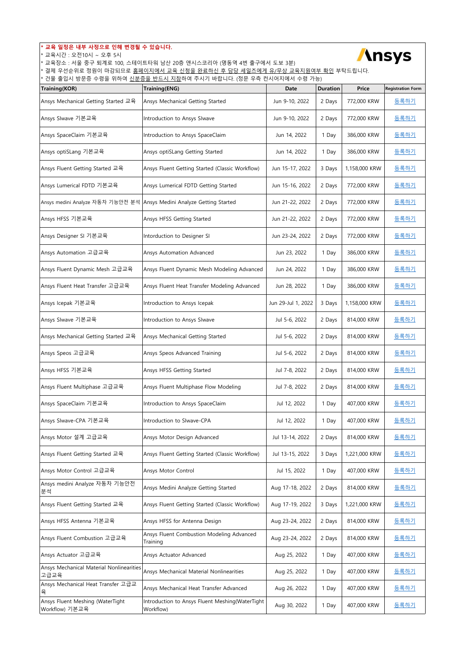| 교육 일정은 내부 사정으로 인해 변경될 수 있습니다.<br><b>Ansys</b><br>* 교육시간 : 오전10시 ~ 오후 5시<br>* 교육장소 : 서울 중구 퇴계로 100, 스테이트타워 남산 20층 앤시스코리아 (명동역 4번 출구에서 도보 3분)<br>결제 우선순위로 정원이 마감되므로 홈페이지에서 교육 신청을 완료하신 후 담당 세일즈에게 유/무상 교육지원여부 확인 부탁드립니다.<br>건물 출입시 방문증 수령을 위하여 신분증을 반드시 지참하여 주시기 바랍니다. (정문 우측 컨시어지에서 수령 가능) |                                                              |                    |                 |               |                          |  |  |
|-------------------------------------------------------------------------------------------------------------------------------------------------------------------------------------------------------------------------------------------------------------------------------------------|--------------------------------------------------------------|--------------------|-----------------|---------------|--------------------------|--|--|
| Training(KOR)                                                                                                                                                                                                                                                                             | Training(ENG)                                                | Date               | <b>Duration</b> | Price         | <b>Registration Form</b> |  |  |
| Ansys Mechanical Getting Started 교육                                                                                                                                                                                                                                                       | Ansys Mechanical Getting Started                             | Jun 9-10, 2022     | 2 Days          | 772,000 KRW   | <u>등록하기</u>              |  |  |
| Ansys SIwave 기본교육                                                                                                                                                                                                                                                                         | Introduction to Ansys Slwave                                 | Jun 9-10, 2022     | 2 Days          | 772,000 KRW   | 등록하기                     |  |  |
| Ansys SpaceClaim 기본교육                                                                                                                                                                                                                                                                     | Introduction to Ansys SpaceClaim                             | Jun 14, 2022       | 1 Day           | 386,000 KRW   | 등록하기                     |  |  |
| Ansys optiSLang 기본교육                                                                                                                                                                                                                                                                      | Ansys optiSLang Getting Started                              | Jun 14, 2022       | 1 Day           | 386,000 KRW   | <u>등록하기</u>              |  |  |
| Ansys Fluent Getting Started 교육                                                                                                                                                                                                                                                           | Ansys Fluent Getting Started (Classic Workflow)              | Jun 15-17, 2022    | 3 Days          | 1,158,000 KRW | 등록하기                     |  |  |
| Ansys Lumerical FDTD 기본교육                                                                                                                                                                                                                                                                 | Ansys Lumerical FDTD Getting Started                         | Jun 15-16, 2022    | 2 Days          | 772,000 KRW   | 등록하기                     |  |  |
| Ansys medini Analyze 자동차 기능안전 분석 Ansys Medini Analyze Getting Started                                                                                                                                                                                                                     |                                                              | Jun 21-22, 2022    | 2 Days          | 772,000 KRW   | <u>등록하기</u>              |  |  |
| Ansys HFSS 기본교육                                                                                                                                                                                                                                                                           | Ansys HFSS Getting Started                                   | Jun 21-22, 2022    | 2 Days          | 772,000 KRW   | 등록하기                     |  |  |
| Ansys Designer SI 기본교육                                                                                                                                                                                                                                                                    | Intorduction to Designer SI                                  | Jun 23-24, 2022    | 2 Days          | 772,000 KRW   | 등록하기                     |  |  |
| Ansys Automation 고급교육                                                                                                                                                                                                                                                                     | Ansys Automation Advanced                                    | Jun 23, 2022       | 1 Day           | 386,000 KRW   | <u>등록하기</u>              |  |  |
| Ansys Fluent Dynamic Mesh 고급교육                                                                                                                                                                                                                                                            | Ansys Fluent Dynamic Mesh Modeling Advanced                  | Jun 24, 2022       | 1 Day           | 386,000 KRW   | 등록하기                     |  |  |
| Ansys Fluent Heat Transfer 고급교육                                                                                                                                                                                                                                                           | Ansys Fluent Heat Transfer Modeling Advanced                 | Jun 28, 2022       | 1 Day           | 386,000 KRW   | <u>등록하기</u>              |  |  |
| Ansys Icepak 기본교육                                                                                                                                                                                                                                                                         | Introduction to Ansys Icepak                                 | Jun 29-Jul 1, 2022 | 3 Days          | 1,158,000 KRW | 등록하기                     |  |  |
| Ansys SIwave 기본교육                                                                                                                                                                                                                                                                         | Introduction to Ansys Slwave                                 | Jul 5-6, 2022      | 2 Days          | 814,000 KRW   | <u>등록하기</u>              |  |  |
| Ansys Mechanical Getting Started 교육                                                                                                                                                                                                                                                       | Ansys Mechanical Getting Started                             | Jul 5-6, 2022      | 2 Days          | 814,000 KRW   | 등록하기                     |  |  |
| Ansys Speos 고급교육                                                                                                                                                                                                                                                                          | Ansys Speos Advanced Training                                | Jul 5-6, 2022      | 2 Days          | 814,000 KRW   | 등록하기                     |  |  |
| Ansys HFSS 기본교육                                                                                                                                                                                                                                                                           | Ansys HFSS Getting Started                                   | Jul 7-8, 2022      | 2 Days          | 814,000 KRW   | 등록하기                     |  |  |
| Ansys Fluent Multiphase 고급교육                                                                                                                                                                                                                                                              | Ansys Fluent Multiphase Flow Modeling                        | Jul 7-8, 2022      | 2 Days          | 814,000 KRW   | 등록하기                     |  |  |
| Ansys SpaceClaim 기본교육                                                                                                                                                                                                                                                                     | Introduction to Ansys SpaceClaim                             | Jul 12, 2022       | 1 Day           | 407,000 KRW   | 등록하기                     |  |  |
| Ansys SIwave-CPA 기본교육                                                                                                                                                                                                                                                                     | Introduction to SIwave-CPA                                   | Jul 12, 2022       | 1 Day           | 407,000 KRW   | 등록하기                     |  |  |
| Ansys Motor 설계 고급교육                                                                                                                                                                                                                                                                       | Ansys Motor Design Advanced                                  | Jul 13-14, 2022    | 2 Days          | 814,000 KRW   | 등록하기                     |  |  |
| Ansys Fluent Getting Started 교육                                                                                                                                                                                                                                                           | Ansys Fluent Getting Started (Classic Workflow)              | Jul 13-15, 2022    | 3 Days          | 1,221,000 KRW | 등록하기                     |  |  |
| Ansys Motor Control 고급교육                                                                                                                                                                                                                                                                  | Ansys Motor Control                                          | Jul 15, 2022       | 1 Day           | 407,000 KRW   | 등록하기                     |  |  |
| Ansys medini Analyze 자동차 기능안전<br>분석                                                                                                                                                                                                                                                       | Ansys Medini Analyze Getting Started                         | Aug 17-18, 2022    | 2 Days          | 814,000 KRW   | 등록하기                     |  |  |
| Ansys Fluent Getting Started 교육                                                                                                                                                                                                                                                           | Ansys Fluent Getting Started (Classic Workflow)              | Aug 17-19, 2022    | 3 Days          | 1,221,000 KRW | 등록하기                     |  |  |
| Ansys HFSS Antenna 기본교육                                                                                                                                                                                                                                                                   | Ansys HFSS for Antenna Design                                | Aug 23-24, 2022    | 2 Days          | 814,000 KRW   | <u>등록하기</u>              |  |  |
| Ansys Fluent Combustion 고급교육                                                                                                                                                                                                                                                              | Ansys Fluent Combustion Modeling Advanced<br>Training        | Aug 23-24, 2022    | 2 Days          | 814,000 KRW   | 등록하기                     |  |  |
| Ansys Actuator 고급교육                                                                                                                                                                                                                                                                       | Ansys Actuator Advanced                                      | Aug 25, 2022       | 1 Day           | 407,000 KRW   | 등록하기                     |  |  |
| Ansys Mechanical Material Nonlinearities<br>고급교육                                                                                                                                                                                                                                          | Ansys Mechanical Material Nonlinearities                     | Aug 25, 2022       | 1 Day           | 407,000 KRW   | 등록하기                     |  |  |
| Ansys Mechanical Heat Transfer 고급교<br>육                                                                                                                                                                                                                                                   | Ansys Mechanical Heat Transfer Advanced                      | Aug 26, 2022       | 1 Day           | 407,000 KRW   | 등록하기                     |  |  |
| Ansys Fluent Meshing (WaterTight<br>Workflow) 기본교육                                                                                                                                                                                                                                        | Introduction to Ansys Fluent Meshing(WaterTight<br>Workflow) | Aug 30, 2022       | 1 Day           | 407,000 KRW   | <u>등록하기</u>              |  |  |